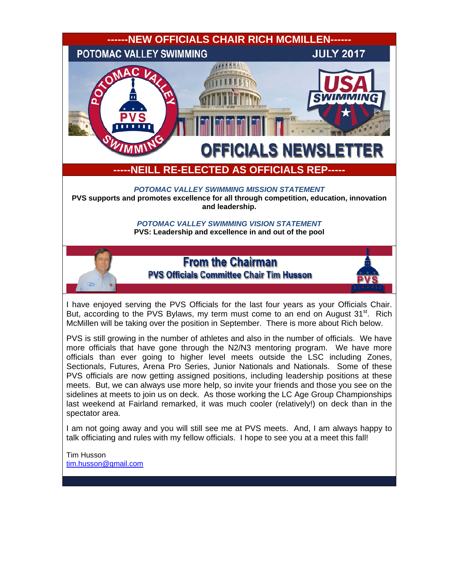

Tim Husson [tim.husson@gmail.com](mailto:tim.husson@gmail.com)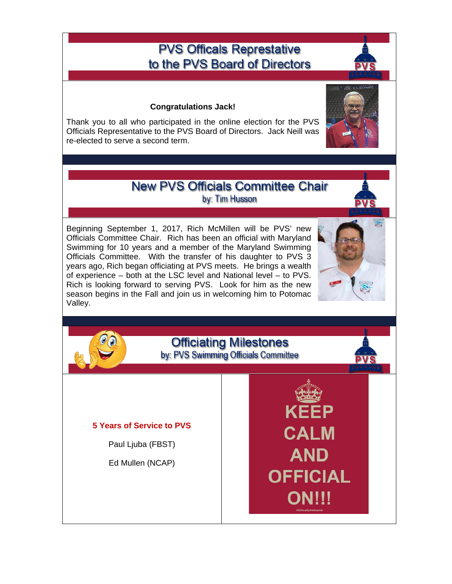# **PVS Officals Represtative** to the PVS Board of Directors

#### **Congratulations Jack!**

Thank you to all who participated in the online election for the PVS Officials Representative to the PVS Board of Directors. Jack Neill was re-elected to serve a second term.

# **New PVS Officials Committee Chair** by: Tim Husson

Beginning September 1, 2017, Rich McMillen will be PVS' new Officials Committee Chair. Rich has been an official with Maryland Swimming for 10 years and a member of the Maryland Swimming Officials Committee. With the transfer of his daughter to PVS 3 years ago, Rich began officiating at PVS meets. He brings a wealth of experience – both at the LSC level and National level – to PVS. Rich is looking forward to serving PVS. Look for him as the new season begins in the Fall and join us in welcoming him to Potomac Valley.



KFFP

**CALM** 

**AND** 

**OFFICIAL** 

ONIJI

# **Officiating Milestones** by: PVS Swimming Officials Committee

#### **5 Years of Service to PVS**

Paul Ljuba (FBST)

Ed Mullen (NCAP)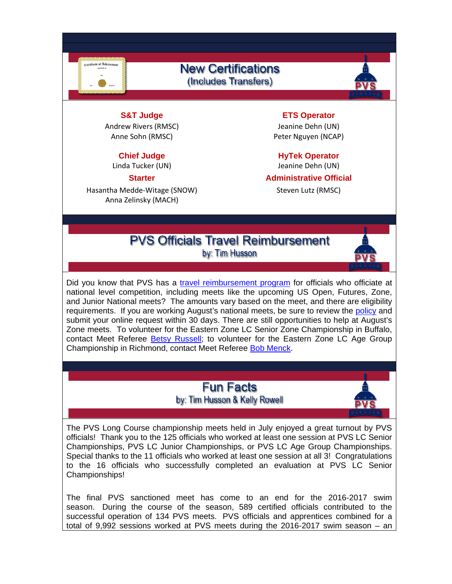rate of Ach

### **New Certifications** (Includes Transfers)



**S&T Judge ETS Operator** Andrew Rivers (RMSC) Jeanine Dehn (UN)

Linda Tucker (UN) Jeanine Dehn (UN)

Hasantha Medde-Witage (SNOW) Steven Lutz (RMSC) Anna Zelinsky (MACH)

Anne Sohn (RMSC) entertainment and the Peter Nguyen (NCAP)

**Chief Judge Chief Strategie Chief Strategie Chief Strategie Properator** 

**Starter Administrative Official** 

# **PVS Officials Travel Reimbursement** by: Tim Husson



Did you know that PVS has a [travel reimbursement program](http://www.pvswim.org/official/travel_reimbursement.html) for officials who officiate at national level competition, including meets like the upcoming US Open, Futures, Zone, and Junior National meets? The amounts vary based on the meet, and there are eligibility requirements. If you are working August's national meets, be sure to review the [policy](http://www.pvswim.org/official/travel_reimbursement.html) and submit your online request within 30 days. There are still opportunities to help at August's Zone meets. To volunteer for the Eastern Zone LC Senior Zone Championship in Buffalo, contact Meet Referee [Betsy Russell;](mailto:betsy@byrussell.com) to volunteer for the Eastern Zone LC Age Group Championship in Richmond, contact Meet Referee [Bob Menck.](mailto:rmenckiii@gmail.com)

# **Fun Facts** by: Tim Husson & Kelly Rowell



The PVS Long Course championship meets held in July enjoyed a great turnout by PVS officials! Thank you to the 125 officials who worked at least one session at PVS LC Senior Championships, PVS LC Junior Championships, or PVS LC Age Group Championships. Special thanks to the 11 officials who worked at least one session at all 3! Congratulations to the 16 officials who successfully completed an evaluation at PVS LC Senior Championships!

The final PVS sanctioned meet has come to an end for the 2016-2017 swim season. During the course of the season, 589 certified officials contributed to the successful operation of 134 PVS meets. PVS officials and apprentices combined for a total of 9,992 sessions worked at PVS meets during the 2016-2017 swim season – an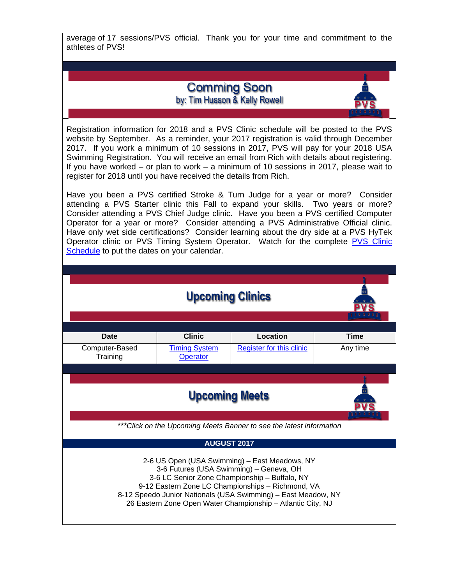average of 17 sessions/PVS official. Thank you for your time and commitment to the athletes of PVS!